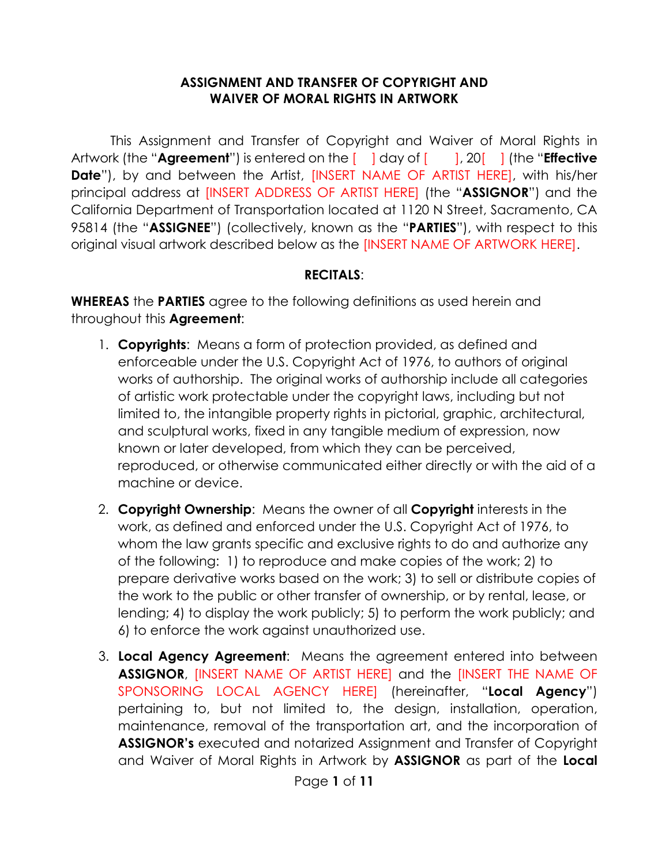#### **ASSIGNMENT AND TRANSFER OF COPYRIGHT AND WAIVER OF MORAL RIGHTS IN ARTWORK**

This Assignment and Transfer of Copyright and Waiver of Moral Rights in Artwork (the "**Agreement**") is entered on the [ ] day of [ ], 20<sup>[</sup> ] (the "**Effective Date**"), by and between the Artist, [INSERT NAME OF ARTIST HERE], with his/her principal address at [INSERT ADDRESS OF ARTIST HERE] (the "**ASSIGNOR**") and the California Department of Transportation located at 1120 N Street, Sacramento, CA 95814 (the "**ASSIGNEE**") (collectively, known as the "**PARTIES**"), with respect to this original visual artwork described below as the [INSERT NAME OF ARTWORK HERE].

#### **RECITALS**:

**WHEREAS** the **PARTIES** agree to the following definitions as used herein and throughout this **Agreement**:

- 1. **Copyrights**: Means a form of protection provided, as defined and enforceable under the U.S. Copyright Act of 1976, to authors of original works of authorship. The original works of authorship include all categories of artistic work protectable under the copyright laws, including but not limited to, the intangible property rights in pictorial, graphic, architectural, and sculptural works, fixed in any tangible medium of expression, now known or later developed, from which they can be perceived, reproduced, or otherwise communicated either directly or with the aid of a machine or device.
- 2. **Copyright Ownership**: Means the owner of all **Copyright** interests in the work, as defined and enforced under the U.S. Copyright Act of 1976, to whom the law grants specific and exclusive rights to do and authorize any of the following: 1) to reproduce and make copies of the work; 2) to prepare derivative works based on the work; 3) to sell or distribute copies of the work to the public or other transfer of ownership, or by rental, lease, or lending; 4) to display the work publicly; 5) to perform the work publicly; and 6) to enforce the work against unauthorized use.
- 3. **Local Agency Agreement**: Means the agreement entered into between **ASSIGNOR**, [INSERT NAME OF ARTIST HERE] and the [INSERT THE NAME OF SPONSORING LOCAL AGENCY HERE] (hereinafter, "**Local Agency**") pertaining to, but not limited to, the design, installation, operation, maintenance, removal of the transportation art, and the incorporation of **ASSIGNOR's** executed and notarized Assignment and Transfer of Copyright and Waiver of Moral Rights in Artwork by **ASSIGNOR** as part of the **Local**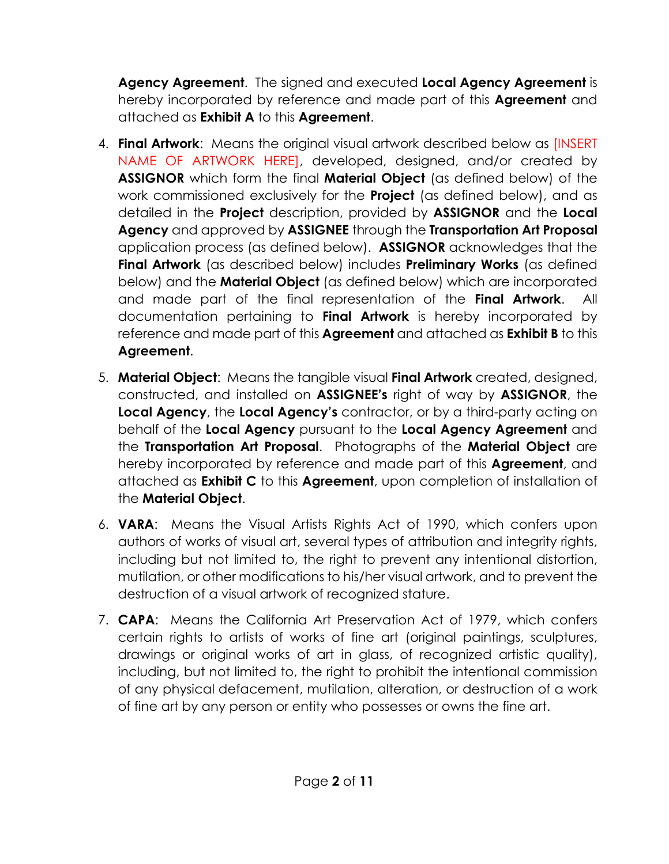**Agency Agreement**. The signed and executed **Local Agency Agreement** is hereby incorporated by reference and made part of this **Agreement** and attached as **Exhibit A** to this **Agreement**.

- 4. **Final Artwork**: Means the original visual artwork described below as [INSERT NAME OF ARTWORK HERE], developed, designed, and/or created by **ASSIGNOR** which form the final **Material Object** (as defined below) of the work commissioned exclusively for the **Project** (as defined below), and as detailed in the **Project** description, provided by **ASSIGNOR** and the **Local Agency** and approved by **ASSIGNEE** through the **Transportation Art Proposal**  application process (as defined below). **ASSIGNOR** acknowledges that the **Final Artwork** (as described below) includes **Preliminary Works** (as defined below) and the **Material Object** (as defined below) which are incorporated and made part of the final representation of the **Final Artwork**. All documentation pertaining to **Final Artwork** is hereby incorporated by reference and made part of this **Agreement** and attached as **Exhibit B** to this **Agreement**.
- 5. **Material Object**: Means the tangible visual **Final Artwork** created, designed, constructed, and installed on **ASSIGNEE's** right of way by **ASSIGNOR**, the **Local Agency**, the **Local Agency's** contractor, or by a third-party acting on behalf of the **Local Agency** pursuant to the **Local Agency Agreement** and the **Transportation Art Proposal**. Photographs of the **Material Object** are hereby incorporated by reference and made part of this **Agreement**, and attached as **Exhibit C** to this **Agreement**, upon completion of installation of the **Material Object**.
- 6. **VARA**: Means the Visual Artists Rights Act of 1990, which confers upon authors of works of visual art, several types of attribution and integrity rights, including but not limited to, the right to prevent any intentional distortion, mutilation, or other modifications to his/her visual artwork, and to prevent the destruction of a visual artwork of recognized stature.
- 7. **CAPA**: Means the California Art Preservation Act of 1979, which confers certain rights to artists of works of fine art (original paintings, sculptures, drawings or original works of art in glass, of recognized artistic quality), including, but not limited to, the right to prohibit the intentional commission of any physical defacement, mutilation, alteration, or destruction of a work of fine art by any person or entity who possesses or owns the fine art.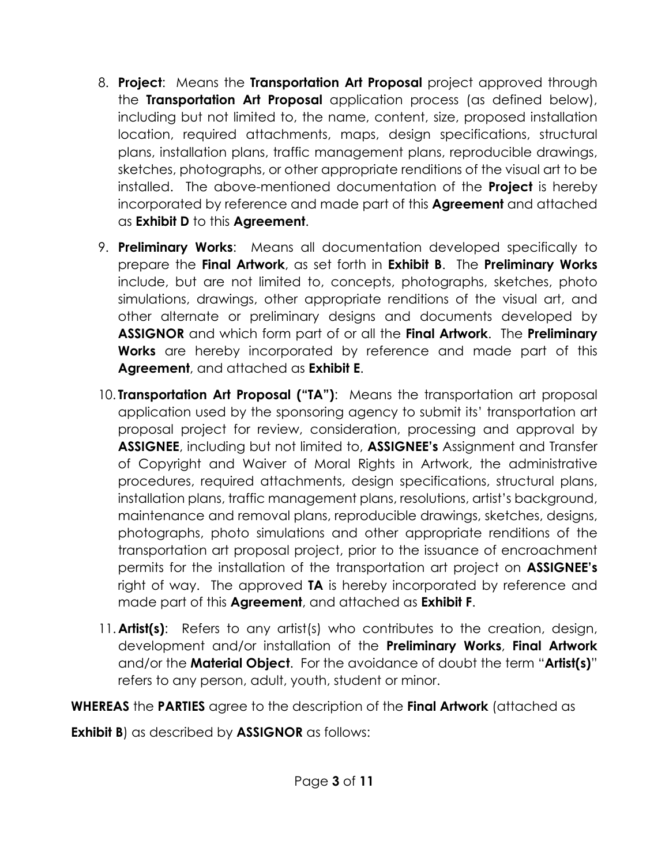- 8. **Project**: Means the **Transportation Art Proposal** project approved through the **Transportation Art Proposal** application process (as defined below), including but not limited to, the name, content, size, proposed installation location, required attachments, maps, design specifications, structural plans, installation plans, traffic management plans, reproducible drawings, sketches, photographs, or other appropriate renditions of the visual art to be installed. The above-mentioned documentation of the **Project** is hereby incorporated by reference and made part of this **Agreement** and attached as **Exhibit D** to this **Agreement**.
- 9. **Preliminary Works**: Means all documentation developed specifically to prepare the **Final Artwork**, as set forth in **Exhibit B**. The **Preliminary Works**  include, but are not limited to, concepts, photographs, sketches, photo simulations, drawings, other appropriate renditions of the visual art, and other alternate or preliminary designs and documents developed by **ASSIGNOR** and which form part of or all the **Final Artwork**. The **Preliminary Works** are hereby incorporated by reference and made part of this **Agreement**, and attached as **Exhibit E**.
- 10. **Transportation Art Proposal ("TA")**: Means the transportation art proposal application used by the sponsoring agency to submit its' transportation art proposal project for review, consideration, processing and approval by **ASSIGNEE**, including but not limited to, **ASSIGNEE's** Assignment and Transfer of Copyright and Waiver of Moral Rights in Artwork, the administrative procedures, required attachments, design specifications, structural plans, installation plans, traffic management plans, resolutions, artist's background, maintenance and removal plans, reproducible drawings, sketches, designs, photographs, photo simulations and other appropriate renditions of the transportation art proposal project, prior to the issuance of encroachment permits for the installation of the transportation art project on **ASSIGNEE's**  right of way. The approved **TA** is hereby incorporated by reference and made part of this **Agreement**, and attached as **Exhibit F**.
- 11.**Artist(s)**: Refers to any artist(s) who contributes to the creation, design, development and/or installation of the **Preliminary Works**, **Final Artwork**  and/or the **Material Object**. For the avoidance of doubt the term "**Artist(s)**" refers to any person, adult, youth, student or minor.
- **WHEREAS** the **PARTIES** agree to the description of the **Final Artwork** (attached as

**Exhibit B**) as described by **ASSIGNOR** as follows: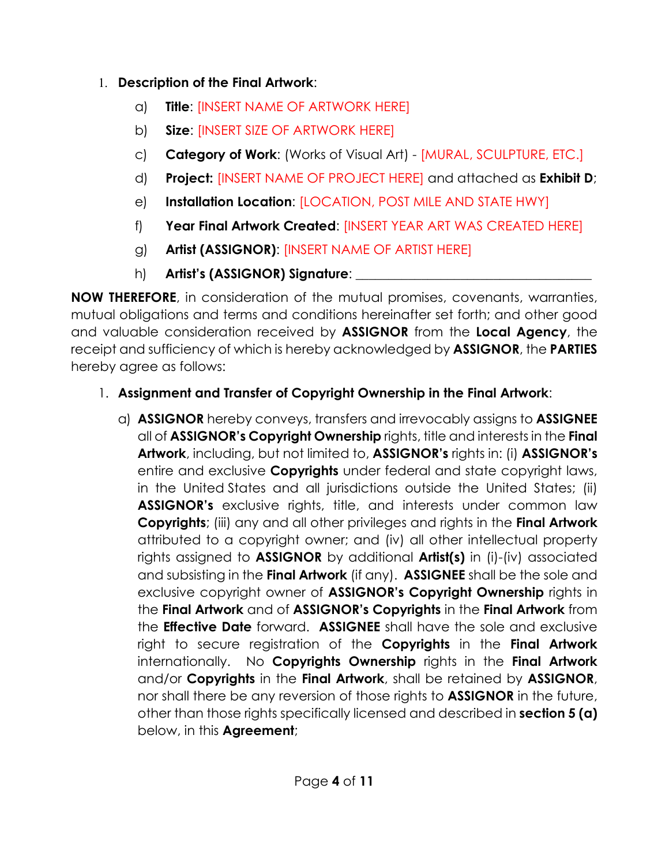### 1. **Description of the Final Artwork**:

- a) **Title**: [INSERT NAME OF ARTWORK HERE]
- b) **Size**: [INSERT SIZE OF ARTWORK HERE]
- c) **Category of Work**: (Works of Visual Art) [MURAL, SCULPTURE, ETC.]
- d) **Project:** [INSERT NAME OF PROJECT HERE] and attached as **Exhibit D**;
- e) **Installation Location**: [LOCATION, POST MILE AND STATE HWY]
- f) **Year Final Artwork Created**: [INSERT YEAR ART WAS CREATED HERE]
- g) **Artist (ASSIGNOR)**: [INSERT NAME OF ARTIST HERE]
- h) **Artist's (ASSIGNOR) Signature**: **\_\_\_\_\_\_\_\_\_\_\_\_\_\_\_\_\_\_\_\_\_\_\_\_\_\_\_\_\_\_\_\_\_\_\_\_**

**NOW THEREFORE**, in consideration of the mutual promises, covenants, warranties, mutual obligations and terms and conditions hereinafter set forth; and other good and valuable consideration received by **ASSIGNOR** from the **Local Agency**, the receipt and sufficiency of which is hereby acknowledged by **ASSIGNOR**, the **PARTIES**  hereby agree as follows:

# 1. **Assignment and Transfer of Copyright Ownership in the Final Artwork**:

a) **ASSIGNOR** hereby conveys, transfers and irrevocably assigns to **ASSIGNEE**  all of **ASSIGNOR's Copyright Ownership** rights, title and interests in the **Final Artwork**, including, but not limited to, **ASSIGNOR's** rights in: (i) **ASSIGNOR's**  entire and exclusive **Copyrights** under federal and state copyright laws, in the United States and all jurisdictions outside the United States; (ii) **ASSIGNOR's** exclusive rights, title, and interests under common law **Copyrights**; (iii) any and all other privileges and rights in the **Final Artwork**  attributed to a copyright owner; and (iv) all other intellectual property rights assigned to **ASSIGNOR** by additional **Artist(s)** in (i)-(iv) associated and subsisting in the **Final Artwork** (if any). **ASSIGNEE** shall be the sole and exclusive copyright owner of **ASSIGNOR's Copyright Ownership** rights in the **Final Artwork** and of **ASSIGNOR's Copyrights** in the **Final Artwork** from the **Effective Date** forward. **ASSIGNEE** shall have the sole and exclusive right to secure registration of the **Copyrights** in the **Final Artwork**  internationally. No **Copyrights Ownership** rights in the **Final Artwork**  and/or **Copyrights** in the **Final Artwork**, shall be retained by **ASSIGNOR**, nor shall there be any reversion of those rights to **ASSIGNOR** in the future, other than those rights specifically licensed and described in **section 5 (a)**  below, in this **Agreement**;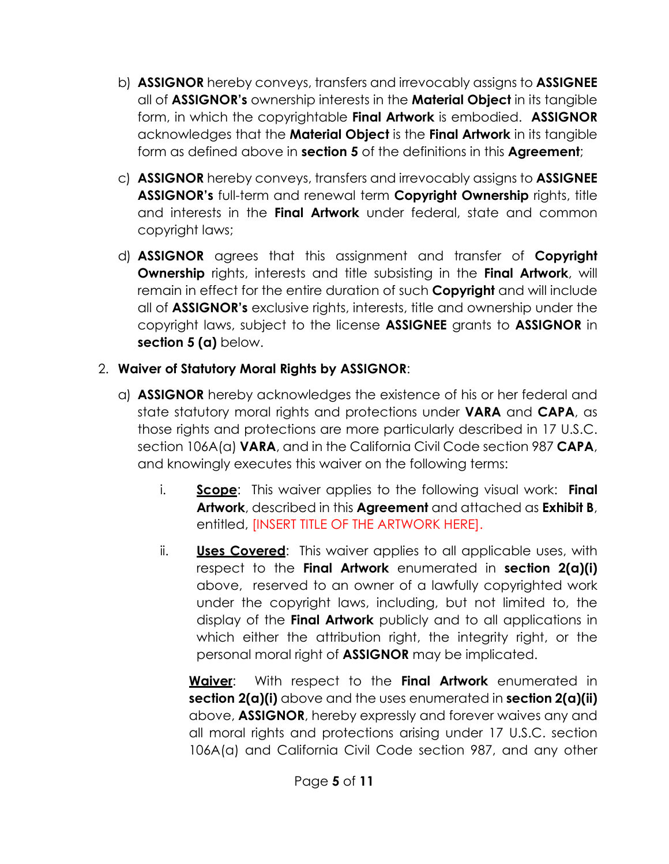- b) **ASSIGNOR** hereby conveys, transfers and irrevocably assigns to **ASSIGNEE**  all of **ASSIGNOR's** ownership interests in the **Material Object** in its tangible form, in which the copyrightable **Final Artwork** is embodied. **ASSIGNOR**  acknowledges that the **Material Object** is the **Final Artwork** in its tangible form as defined above in **section 5** of the definitions in this **Agreement**;
- c) **ASSIGNOR** hereby conveys, transfers and irrevocably assigns to **ASSIGNEE ASSIGNOR's** full-term and renewal term **Copyright Ownership** rights, title and interests in the **Final Artwork** under federal, state and common copyright laws;
- d) **ASSIGNOR** agrees that this assignment and transfer of **Copyright Ownership** rights, interests and title subsisting in the **Final Artwork**, will remain in effect for the entire duration of such **Copyright** and will include all of **ASSIGNOR's** exclusive rights, interests, title and ownership under the copyright laws, subject to the license **ASSIGNEE** grants to **ASSIGNOR** in **section 5 (a)** below.

# 2. **Waiver of Statutory Moral Rights by ASSIGNOR**:

- a) **ASSIGNOR** hereby acknowledges the existence of his or her federal and state statutory moral rights and protections under **VARA** and **CAPA**, as those rights and protections are more particularly described in 17 U.S.C. section 106A(a) **VARA**, and in the California Civil Code section 987 **CAPA**, and knowingly executes this waiver on the following terms:
	- i. **Scope**: This waiver applies to the following visual work: **Final Artwork**, described in this **Agreement** and attached as **Exhibit B**, entitled, [INSERT TITLE OF THE ARTWORK HERE].
	- ii. **Uses Covered**: This waiver applies to all applicable uses, with respect to the **Final Artwork** enumerated in **section 2(a)(i)**  above, reserved to an owner of a lawfully copyrighted work under the copyright laws, including, but not limited to, the display of the **Final Artwork** publicly and to all applications in which either the attribution right, the integrity right, or the personal moral right of **ASSIGNOR** may be implicated.

**Waiver**: With respect to the **Final Artwork** enumerated in **section 2(a)(i)** above and the uses enumerated in **section 2(a)(ii)**  above, **ASSIGNOR**, hereby expressly and forever waives any and all moral rights and protections arising under 17 U.S.C. section 106A(a) and California Civil Code section 987, and any other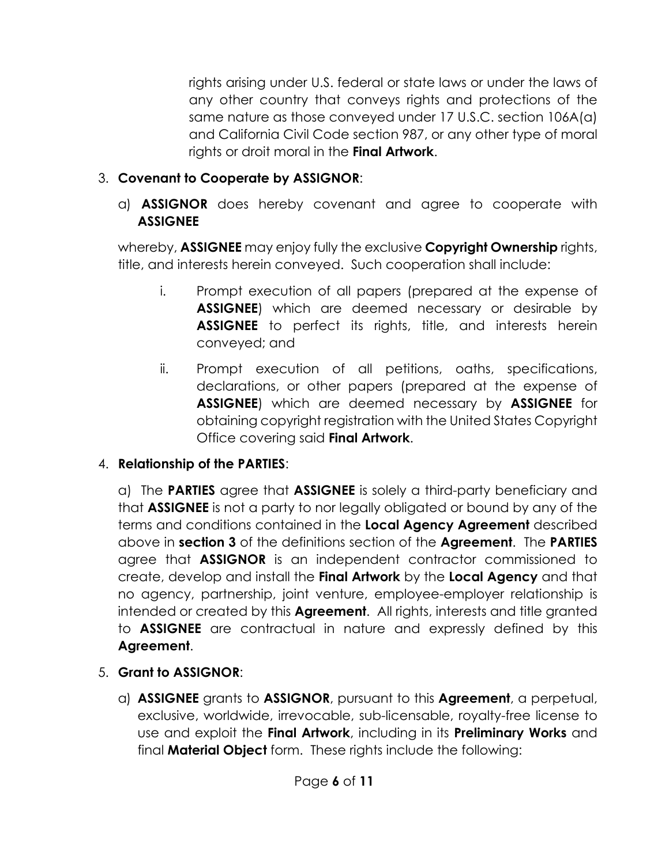rights arising under U.S. federal or state laws or under the laws of any other country that conveys rights and protections of the same nature as those conveyed under 17 U.S.C. section 106A(a) and California Civil Code section 987, or any other type of moral rights or droit moral in the **Final Artwork**.

# 3. **Covenant to Cooperate by ASSIGNOR**:

a) **ASSIGNOR** does hereby covenant and agree to cooperate with **ASSIGNEE**

whereby, **ASSIGNEE** may enjoy fully the exclusive **Copyright Ownership** rights, title, and interests herein conveyed. Such cooperation shall include:

- i. Prompt execution of all papers (prepared at the expense of **ASSIGNEE**) which are deemed necessary or desirable by **ASSIGNEE** to perfect its rights, title, and interests herein conveyed; and
- ii. Prompt execution of all petitions, oaths, specifications, declarations, or other papers (prepared at the expense of **ASSIGNEE**) which are deemed necessary by **ASSIGNEE** for obtaining copyright registration with the United States Copyright Office covering said **Final Artwork**.

## 4. **Relationship of the PARTIES**:

a) The **PARTIES** agree that **ASSIGNEE** is solely a third-party beneficiary and that **ASSIGNEE** is not a party to nor legally obligated or bound by any of the terms and conditions contained in the **Local Agency Agreement** described above in **section 3** of the definitions section of the **Agreement**. The **PARTIES**  agree that **ASSIGNOR** is an independent contractor commissioned to create, develop and install the **Final Artwork** by the **Local Agency** and that no agency, partnership, joint venture, employee-employer relationship is intended or created by this **Agreement**. All rights, interests and title granted to **ASSIGNEE** are contractual in nature and expressly defined by this **Agreement**.

- 5. **Grant to ASSIGNOR**:
	- a) **ASSIGNEE** grants to **ASSIGNOR**, pursuant to this **Agreement**, a perpetual, exclusive, worldwide, irrevocable, sub-licensable, royalty-free license to use and exploit the **Final Artwork**, including in its **Preliminary Works** and final **Material Object** form. These rights include the following: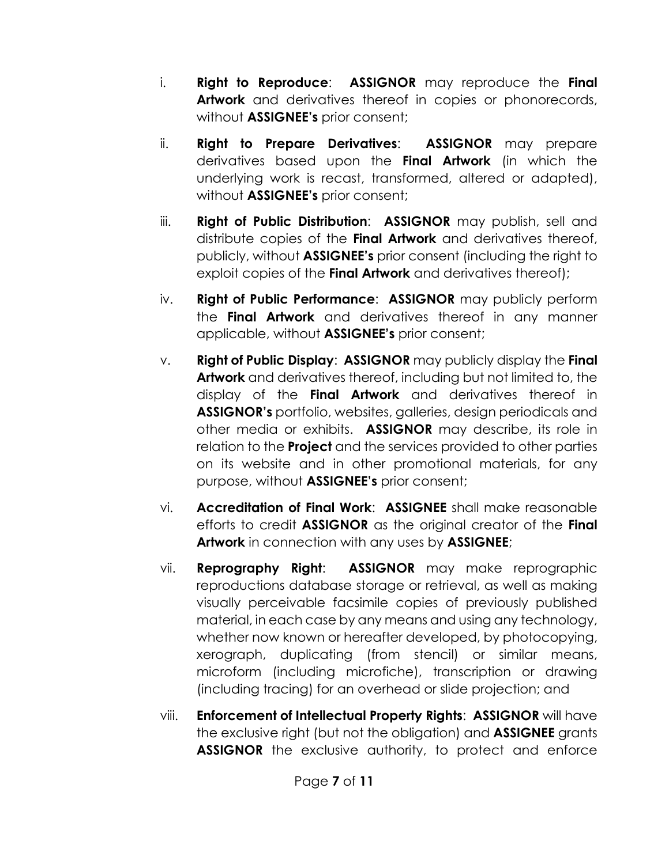- i. **Right to Reproduce**: **ASSIGNOR** may reproduce the **Final Artwork** and derivatives thereof in copies or phonorecords, without **ASSIGNEE's** prior consent;
- ii. **Right to Prepare Derivatives**: **ASSIGNOR** may prepare derivatives based upon the **Final Artwork** (in which the underlying work is recast, transformed, altered or adapted), without **ASSIGNEE's** prior consent;
- iii. **Right of Public Distribution**: **ASSIGNOR** may publish, sell and distribute copies of the **Final Artwork** and derivatives thereof, publicly, without **ASSIGNEE's** prior consent (including the right to exploit copies of the **Final Artwork** and derivatives thereof);
- iv. **Right of Public Performance**: **ASSIGNOR** may publicly perform the **Final Artwork** and derivatives thereof in any manner applicable, without **ASSIGNEE's** prior consent;
- v. **Right of Public Display**: **ASSIGNOR** may publicly display the **Final Artwork** and derivatives thereof, including but not limited to, the display of the **Final Artwork** and derivatives thereof in **ASSIGNOR's** portfolio, websites, galleries, design periodicals and other media or exhibits. **ASSIGNOR** may describe, its role in relation to the **Project** and the services provided to other parties on its website and in other promotional materials, for any purpose, without **ASSIGNEE's** prior consent;
- vi. **Accreditation of Final Work**: **ASSIGNEE** shall make reasonable efforts to credit **ASSIGNOR** as the original creator of the **Final Artwork** in connection with any uses by **ASSIGNEE**;
- vii. **Reprography Right**: **ASSIGNOR** may make reprographic reproductions database storage or retrieval, as well as making visually perceivable facsimile copies of previously published material, in each case by any means and using any technology, whether now known or hereafter developed, by photocopying, xerograph, duplicating (from stencil) or similar means, microform (including microfiche), transcription or drawing (including tracing) for an overhead or slide projection; and
- viii. **Enforcement of Intellectual Property Rights**: **ASSIGNOR** will have the exclusive right (but not the obligation) and **ASSIGNEE** grants **ASSIGNOR** the exclusive authority, to protect and enforce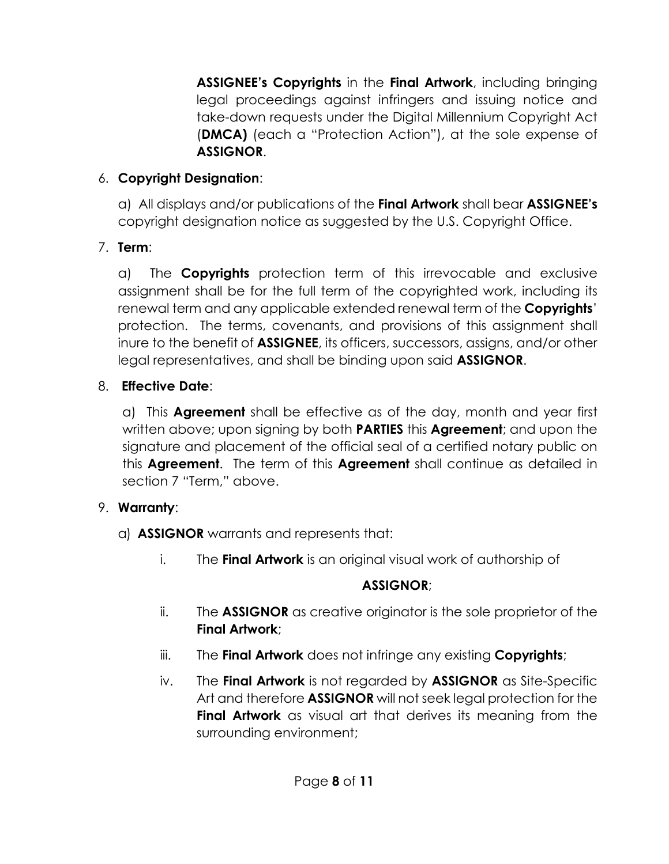**ASSIGNEE's Copyrights** in the **Final Artwork**, including bringing legal proceedings against infringers and issuing notice and take-down requests under the Digital Millennium Copyright Act (**DMCA)** (each a "Protection Action"), at the sole expense of **ASSIGNOR**.

## 6. **Copyright Designation**:

a) All displays and/or publications of the **Final Artwork** shall bear **ASSIGNEE's**  copyright designation notice as suggested by the U.S. Copyright Office.

# 7. **Term**:

a) The **Copyrights** protection term of this irrevocable and exclusive assignment shall be for the full term of the copyrighted work, including its renewal term and any applicable extended renewal term of the **Copyrights**' protection. The terms, covenants, and provisions of this assignment shall inure to the benefit of **ASSIGNEE**, its officers, successors, assigns, and/or other legal representatives, and shall be binding upon said **ASSIGNOR**.

# 8. **Effective Date**:

a) This **Agreement** shall be effective as of the day, month and year first written above; upon signing by both **PARTIES** this **Agreement**; and upon the signature and placement of the official seal of a certified notary public on this **Agreement**. The term of this **Agreement** shall continue as detailed in section 7 "Term," above.

# 9. **Warranty**:

- a) **ASSIGNOR** warrants and represents that:
	- i. The **Final Artwork** is an original visual work of authorship of

# **ASSIGNOR**;

- ii. The **ASSIGNOR** as creative originator is the sole proprietor of the **Final Artwork**;
- iii. The **Final Artwork** does not infringe any existing **Copyrights**;
- iv. The **Final Artwork** is not regarded by **ASSIGNOR** as Site-Specific Art and therefore **ASSIGNOR** will not seek legal protection for the **Final Artwork** as visual art that derives its meaning from the surrounding environment;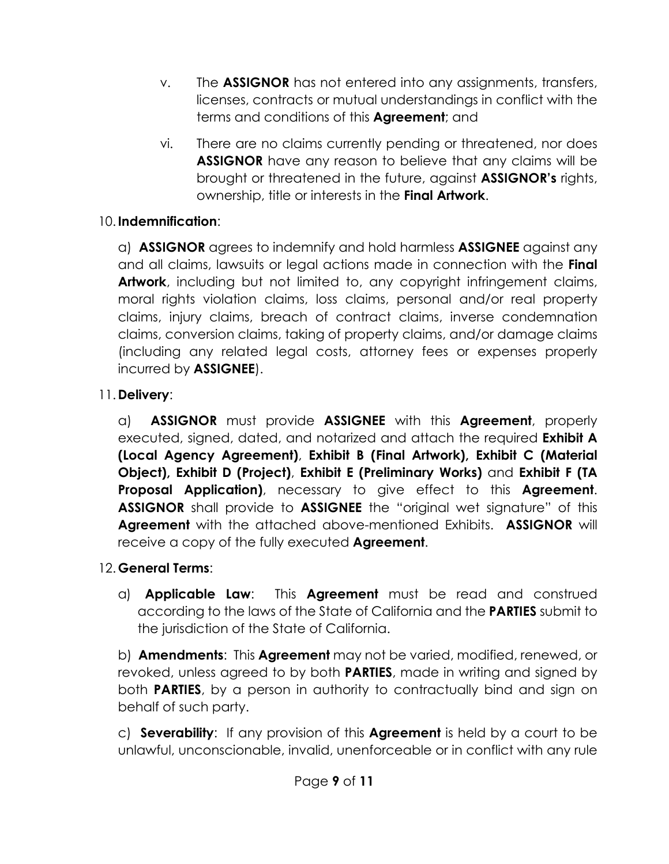- v. The **ASSIGNOR** has not entered into any assignments, transfers, licenses, contracts or mutual understandings in conflict with the terms and conditions of this **Agreement**; and
- vi. There are no claims currently pending or threatened, nor does **ASSIGNOR** have any reason to believe that any claims will be brought or threatened in the future, against **ASSIGNOR's** rights, ownership, title or interests in the **Final Artwork**.

## 10. **Indemnification**:

a) **ASSIGNOR** agrees to indemnify and hold harmless **ASSIGNEE** against any and all claims, lawsuits or legal actions made in connection with the **Final Artwork**, including but not limited to, any copyright infringement claims, moral rights violation claims, loss claims, personal and/or real property claims, injury claims, breach of contract claims, inverse condemnation claims, conversion claims, taking of property claims, and/or damage claims (including any related legal costs, attorney fees or expenses properly incurred by **ASSIGNEE**).

## 11. **Delivery**:

a) **ASSIGNOR** must provide **ASSIGNEE** with this **Agreement**, properly executed, signed, dated, and notarized and attach the required **Exhibit A (Local Agency Agreement)**, **Exhibit B (Final Artwork), Exhibit C (Material Object), Exhibit D (Project)**, **Exhibit E (Preliminary Works)** and **Exhibit F (TA Proposal Application)**, necessary to give effect to this **Agreement**. **ASSIGNOR** shall provide to **ASSIGNEE** the "original wet signature" of this **Agreement** with the attached above-mentioned Exhibits. **ASSIGNOR** will receive a copy of the fully executed **Agreement**.

### 12. **General Terms**:

a) **Applicable Law**: This **Agreement** must be read and construed according to the laws of the State of California and the **PARTIES** submit to the jurisdiction of the State of California.

b) **Amendments**: This **Agreement** may not be varied, modified, renewed, or revoked, unless agreed to by both **PARTIES**, made in writing and signed by both **PARTIES**, by a person in authority to contractually bind and sign on behalf of such party.

c) **Severability**: If any provision of this **Agreement** is held by a court to be unlawful, unconscionable, invalid, unenforceable or in conflict with any rule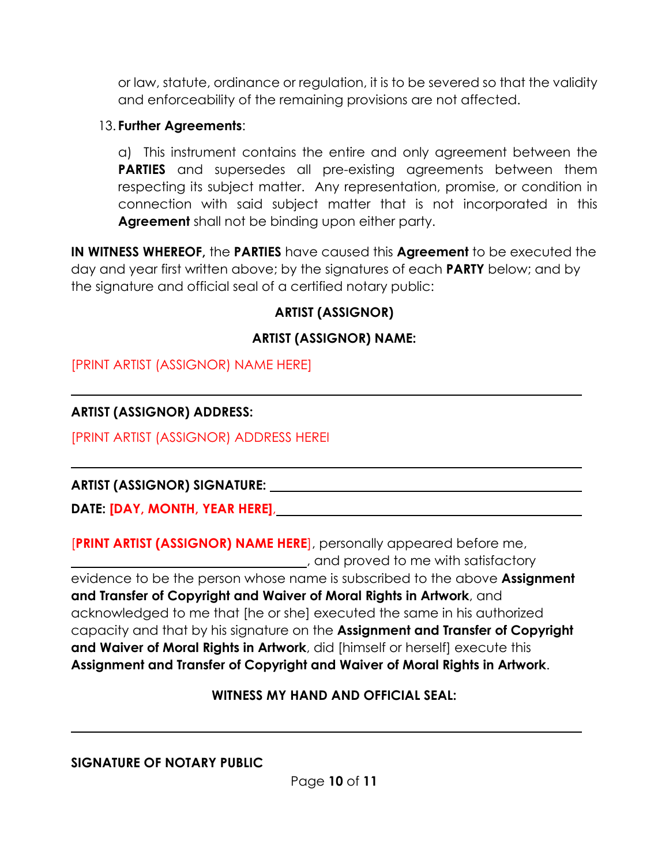or law, statute, ordinance or regulation, it is to be severed so that the validity and enforceability of the remaining provisions are not affected.

#### 13. **Further Agreements**:

a) This instrument contains the entire and only agreement between the **PARTIES** and supersedes all pre-existing agreements between them respecting its subject matter. Any representation, promise, or condition in connection with said subject matter that is not incorporated in this **Agreement** shall not be binding upon either party.

**IN WITNESS WHEREOF,** the **PARTIES** have caused this **Agreement** to be executed the day and year first written above; by the signatures of each **PARTY** below; and by the signature and official seal of a certified notary public:

## **ARTIST (ASSIGNOR)**

### **ARTIST (ASSIGNOR) NAME:**

[PRINT ARTIST (ASSIGNOR) NAME HERE]

### **ARTIST (ASSIGNOR) ADDRESS:**

[PRINT ARTIST (ASSIGNOR) ADDRESS HEREI

### **ARTIST (ASSIGNOR) SIGNATURE:**

**DATE: [DAY, MONTH, YEAR HERE]**,

[**PRINT ARTIST (ASSIGNOR) NAME HERE**], personally appeared before me, , and proved to me with satisfactory evidence to be the person whose name is subscribed to the above **Assignment and Transfer of Copyright and Waiver of Moral Rights in Artwork**, and acknowledged to me that [he or she] executed the same in his authorized capacity and that by his signature on the **Assignment and Transfer of Copyright and Waiver of Moral Rights in Artwork**, did [himself or herself] execute this **Assignment and Transfer of Copyright and Waiver of Moral Rights in Artwork**.

#### **WITNESS MY HAND AND OFFICIAL SEAL:**

#### **SIGNATURE OF NOTARY PUBLIC**